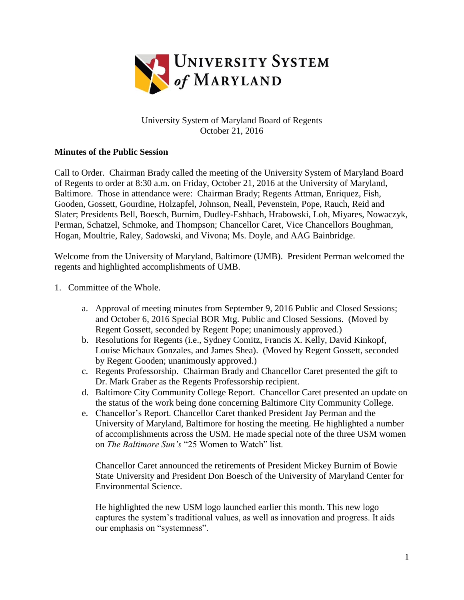

## University System of Maryland Board of Regents October 21, 2016

## **Minutes of the Public Session**

Call to Order. Chairman Brady called the meeting of the University System of Maryland Board of Regents to order at 8:30 a.m. on Friday, October 21, 2016 at the University of Maryland, Baltimore. Those in attendance were: Chairman Brady; Regents Attman, Enriquez, Fish, Gooden, Gossett, Gourdine, Holzapfel, Johnson, Neall, Pevenstein, Pope, Rauch, Reid and Slater; Presidents Bell, Boesch, Burnim, Dudley-Eshbach, Hrabowski, Loh, Miyares, Nowaczyk, Perman, Schatzel, Schmoke, and Thompson; Chancellor Caret, Vice Chancellors Boughman, Hogan, Moultrie, Raley, Sadowski, and Vivona; Ms. Doyle, and AAG Bainbridge.

Welcome from the University of Maryland, Baltimore (UMB). President Perman welcomed the regents and highlighted accomplishments of UMB.

- 1. Committee of the Whole.
	- a. Approval of meeting minutes from September 9, 2016 Public and Closed Sessions; and October 6, 2016 Special BOR Mtg. Public and Closed Sessions. (Moved by Regent Gossett, seconded by Regent Pope; unanimously approved.)
	- b. Resolutions for Regents (i.e., Sydney Comitz, Francis X. Kelly, David Kinkopf, Louise Michaux Gonzales, and James Shea). (Moved by Regent Gossett, seconded by Regent Gooden; unanimously approved.)
	- c. Regents Professorship. Chairman Brady and Chancellor Caret presented the gift to Dr. Mark Graber as the Regents Professorship recipient.
	- d. Baltimore City Community College Report. Chancellor Caret presented an update on the status of the work being done concerning Baltimore City Community College.
	- e. Chancellor's Report. Chancellor Caret thanked President Jay Perman and the University of Maryland, Baltimore for hosting the meeting. He highlighted a number of accomplishments across the USM. He made special note of the three USM women on *The Baltimore Sun's* "25 Women to Watch" list.

Chancellor Caret announced the retirements of President Mickey Burnim of Bowie State University and President Don Boesch of the University of Maryland Center for Environmental Science.

He highlighted the new USM logo launched earlier this month. This new logo captures the system's traditional values, as well as innovation and progress. It aids our emphasis on "systemness".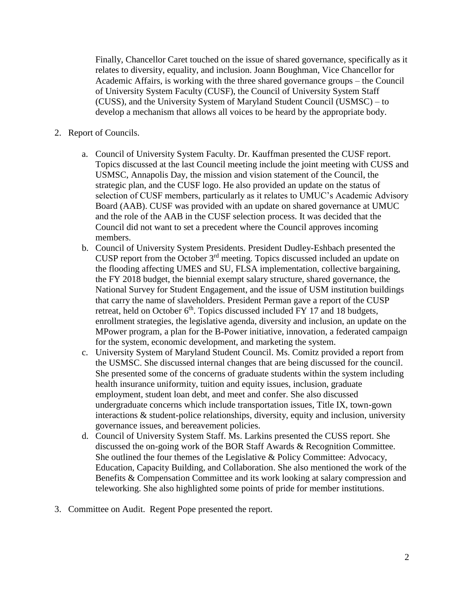Finally, Chancellor Caret touched on the issue of shared governance, specifically as it relates to diversity, equality, and inclusion. Joann Boughman, Vice Chancellor for Academic Affairs, is working with the three shared governance groups – the Council of University System Faculty (CUSF), the Council of University System Staff (CUSS), and the University System of Maryland Student Council (USMSC) – to develop a mechanism that allows all voices to be heard by the appropriate body.

- 2. Report of Councils.
	- a. Council of University System Faculty. Dr. Kauffman presented the CUSF report. Topics discussed at the last Council meeting include the joint meeting with CUSS and USMSC, Annapolis Day, the mission and vision statement of the Council, the strategic plan, and the CUSF logo. He also provided an update on the status of selection of CUSF members, particularly as it relates to UMUC's Academic Advisory Board (AAB). CUSF was provided with an update on shared governance at UMUC and the role of the AAB in the CUSF selection process. It was decided that the Council did not want to set a precedent where the Council approves incoming members.
	- b. Council of University System Presidents. President Dudley-Eshbach presented the CUSP report from the October 3rd meeting. Topics discussed included an update on the flooding affecting UMES and SU, FLSA implementation, collective bargaining, the FY 2018 budget, the biennial exempt salary structure, shared governance, the National Survey for Student Engagement, and the issue of USM institution buildings that carry the name of slaveholders. President Perman gave a report of the CUSP retreat, held on October  $6<sup>th</sup>$ . Topics discussed included FY 17 and 18 budgets, enrollment strategies, the legislative agenda, diversity and inclusion, an update on the MPower program, a plan for the B-Power initiative, innovation, a federated campaign for the system, economic development, and marketing the system.
	- c. University System of Maryland Student Council. Ms. Comitz provided a report from the USMSC. She discussed internal changes that are being discussed for the council. She presented some of the concerns of graduate students within the system including health insurance uniformity, tuition and equity issues, inclusion, graduate employment, student loan debt, and meet and confer. She also discussed undergraduate concerns which include transportation issues, Title IX, town-gown interactions & student-police relationships, diversity, equity and inclusion, university governance issues, and bereavement policies.
	- d. Council of University System Staff. Ms. Larkins presented the CUSS report. She discussed the on-going work of the BOR Staff Awards & Recognition Committee. She outlined the four themes of the Legislative & Policy Committee: Advocacy, Education, Capacity Building, and Collaboration. She also mentioned the work of the Benefits & Compensation Committee and its work looking at salary compression and teleworking. She also highlighted some points of pride for member institutions.
- 3. Committee on Audit. Regent Pope presented the report.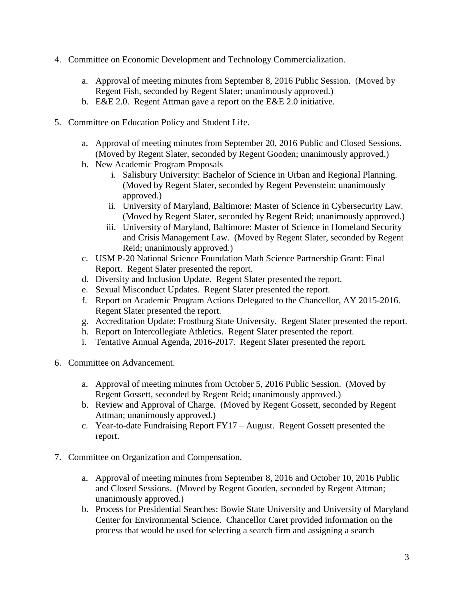- 4. Committee on Economic Development and Technology Commercialization.
	- a. Approval of meeting minutes from September 8, 2016 Public Session. (Moved by Regent Fish, seconded by Regent Slater; unanimously approved.)
	- b. E&E 2.0. Regent Attman gave a report on the E&E 2.0 initiative.
- 5. Committee on Education Policy and Student Life.
	- a. Approval of meeting minutes from September 20, 2016 Public and Closed Sessions. (Moved by Regent Slater, seconded by Regent Gooden; unanimously approved.)
	- b. New Academic Program Proposals
		- i. Salisbury University: Bachelor of Science in Urban and Regional Planning. (Moved by Regent Slater, seconded by Regent Pevenstein; unanimously approved.)
		- ii. University of Maryland, Baltimore: Master of Science in Cybersecurity Law. (Moved by Regent Slater, seconded by Regent Reid; unanimously approved.)
		- iii. University of Maryland, Baltimore: Master of Science in Homeland Security and Crisis Management Law. (Moved by Regent Slater, seconded by Regent Reid; unanimously approved.)
	- c. USM P-20 National Science Foundation Math Science Partnership Grant: Final Report. Regent Slater presented the report.
	- d. Diversity and Inclusion Update. Regent Slater presented the report.
	- e. Sexual Misconduct Updates. Regent Slater presented the report.
	- f. Report on Academic Program Actions Delegated to the Chancellor, AY 2015-2016. Regent Slater presented the report.
	- g. Accreditation Update: Frostburg State University. Regent Slater presented the report.
	- h. Report on Intercollegiate Athletics. Regent Slater presented the report.
	- i. Tentative Annual Agenda, 2016-2017. Regent Slater presented the report.
- 6. Committee on Advancement.
	- a. Approval of meeting minutes from October 5, 2016 Public Session. (Moved by Regent Gossett, seconded by Regent Reid; unanimously approved.)
	- b. Review and Approval of Charge. (Moved by Regent Gossett, seconded by Regent Attman; unanimously approved.)
	- c. Year-to-date Fundraising Report FY17 August. Regent Gossett presented the report.
- 7. Committee on Organization and Compensation.
	- a. Approval of meeting minutes from September 8, 2016 and October 10, 2016 Public and Closed Sessions. (Moved by Regent Gooden, seconded by Regent Attman; unanimously approved.)
	- b. Process for Presidential Searches: Bowie State University and University of Maryland Center for Environmental Science. Chancellor Caret provided information on the process that would be used for selecting a search firm and assigning a search